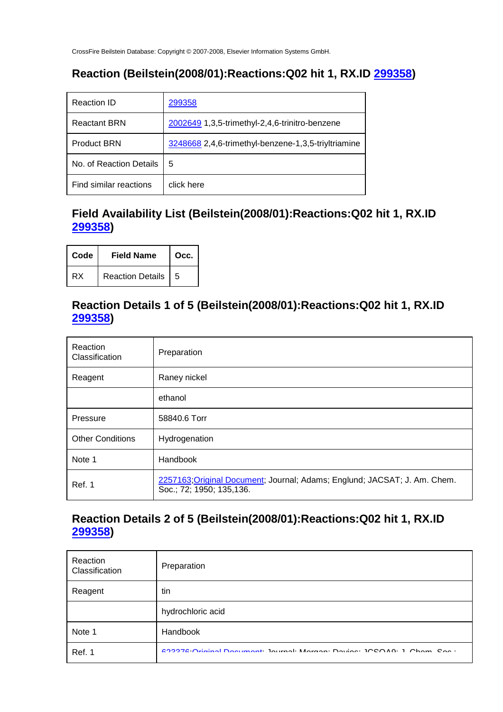## **Reaction (Beilstein(2008/01):Reactions:Q02 hit 1, RX.ID 299358)**

| <b>Reaction ID</b>      | 299358                                              |
|-------------------------|-----------------------------------------------------|
| <b>Reactant BRN</b>     | 2002649 1,3,5-trimethyl-2,4,6-trinitro-benzene      |
| <b>Product BRN</b>      | 3248668 2,4,6-trimethyl-benzene-1,3,5-triyltriamine |
| No. of Reaction Details | 5                                                   |
| Find similar reactions  | click here                                          |

#### **Field Availability List (Beilstein(2008/01):Reactions:Q02 hit 1, RX.ID 299358)**

| Code | <b>Field Name</b>    | Occ. |
|------|----------------------|------|
| RX   | Reaction Details   5 |      |

#### **Reaction Details 1 of 5 (Beilstein(2008/01):Reactions:Q02 hit 1, RX.ID 299358)**

| Reaction<br>Classification | Preparation                                                                                           |
|----------------------------|-------------------------------------------------------------------------------------------------------|
| Reagent                    | Raney nickel                                                                                          |
|                            | ethanol                                                                                               |
| Pressure                   | 58840.6 Torr                                                                                          |
| <b>Other Conditions</b>    | Hydrogenation                                                                                         |
| Note 1                     | Handbook                                                                                              |
| Ref. 1                     | 2257163; Original Document; Journal; Adams; Englund; JACSAT; J. Am. Chem.<br>Soc.; 72; 1950; 135,136. |

#### **Reaction Details 2 of 5 (Beilstein(2008/01):Reactions:Q02 hit 1, RX.ID 299358)**

| Reaction<br>Classification | Preparation                                                                     |
|----------------------------|---------------------------------------------------------------------------------|
| Reagent                    | tin                                                                             |
|                            | hydrochloric acid                                                               |
| Note 1                     | Handbook                                                                        |
| Ref. 1                     | COOOTC.O. Catalog Deciminate Terminal: Manager: Davisa: IOCOAO: I. Okaine Cae : |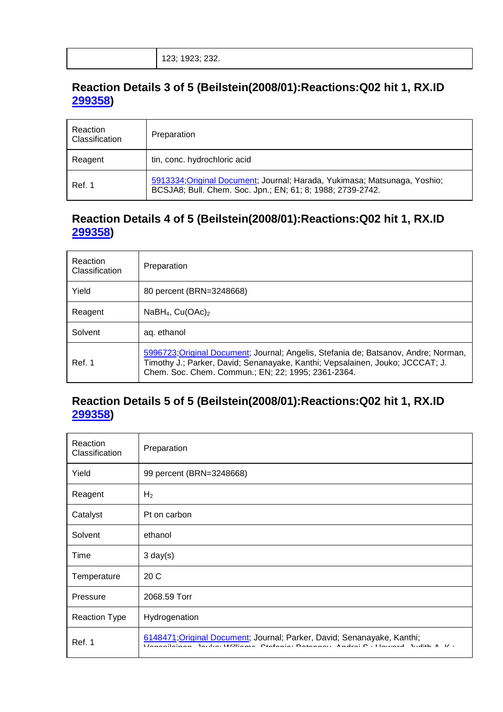### **Reaction Details 3 of 5 (Beilstein(2008/01):Reactions:Q02 hit 1, RX.ID 299358)**

| Reaction<br>Classification | Preparation                                                                                                                             |
|----------------------------|-----------------------------------------------------------------------------------------------------------------------------------------|
| Reagent                    | tin, conc. hydrochloric acid                                                                                                            |
| Ref. 1                     | 5913334; Original Document; Journal; Harada, Yukimasa; Matsunaga, Yoshio;<br>BCSJA8; Bull. Chem. Soc. Jpn.; EN; 61; 8; 1988; 2739-2742. |

#### **Reaction Details 4 of 5 (Beilstein(2008/01):Reactions:Q02 hit 1, RX.ID 299358)**

| Reaction<br>Classification | Preparation                                                                                                                                                                                                                |
|----------------------------|----------------------------------------------------------------------------------------------------------------------------------------------------------------------------------------------------------------------------|
| Yield                      | 80 percent (BRN=3248668)                                                                                                                                                                                                   |
| Reagent                    | NaBH <sub>4</sub> , $Cu(OAc)2$                                                                                                                                                                                             |
| Solvent                    | ag. ethanol                                                                                                                                                                                                                |
| Ref. 1                     | 5996723; Original Document; Journal; Angelis, Stefania de; Batsanov, Andre; Norman,<br>Timothy J.; Parker, David; Senanayake, Kanthi; Vepsalainen, Jouko; JCCCAT; J.<br>Chem. Soc. Chem. Commun.; EN; 22; 1995; 2361-2364. |

#### **Reaction Details 5 of 5 (Beilstein(2008/01):Reactions:Q02 hit 1, RX.ID 299358)**

| Reaction<br>Classification | Preparation                                                                                                                                               |
|----------------------------|-----------------------------------------------------------------------------------------------------------------------------------------------------------|
| Yield                      | 99 percent (BRN=3248668)                                                                                                                                  |
| Reagent                    | H <sub>2</sub>                                                                                                                                            |
| Catalyst                   | Pt on carbon                                                                                                                                              |
| Solvent                    | ethanol                                                                                                                                                   |
| Time                       | $3 \text{ day}(s)$                                                                                                                                        |
| Temperature                | 20C                                                                                                                                                       |
| Pressure                   | 2068.59 Torr                                                                                                                                              |
| <b>Reaction Type</b>       | Hydrogenation                                                                                                                                             |
| Ref. 1                     | 6148471; Original Document; Journal; Parker, David; Senanayake, Kanthi;<br>Venecipinan Joulea Williama Ptofonia: Retegnau Andrej P : Hougrap Judith A K : |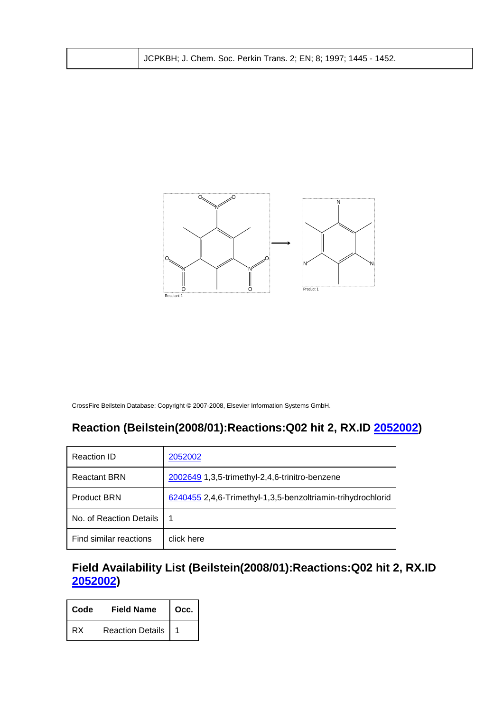| JCPKBH; J. Chem. Soc. Perkin Trans. 2; EN; 8; 1997; 1445 - 1452. |  |
|------------------------------------------------------------------|--|
|------------------------------------------------------------------|--|



## **Reaction (Beilstein(2008/01):Reactions:Q02 hit 2, RX.ID 2052002)**

| Reaction ID             | 2052002                                                     |
|-------------------------|-------------------------------------------------------------|
| <b>Reactant BRN</b>     | 2002649 1,3,5-trimethyl-2,4,6-trinitro-benzene              |
| <b>Product BRN</b>      | 6240455 2,4,6-Trimethyl-1,3,5-benzoltriamin-trihydrochlorid |
| No. of Reaction Details | 1                                                           |
| Find similar reactions  | click here                                                  |

## **Field Availability List (Beilstein(2008/01):Reactions:Q02 hit 2, RX.ID 2052002)**

| Code | <b>Field Name</b>       | Occ. |
|------|-------------------------|------|
| RX   | <b>Reaction Details</b> |      |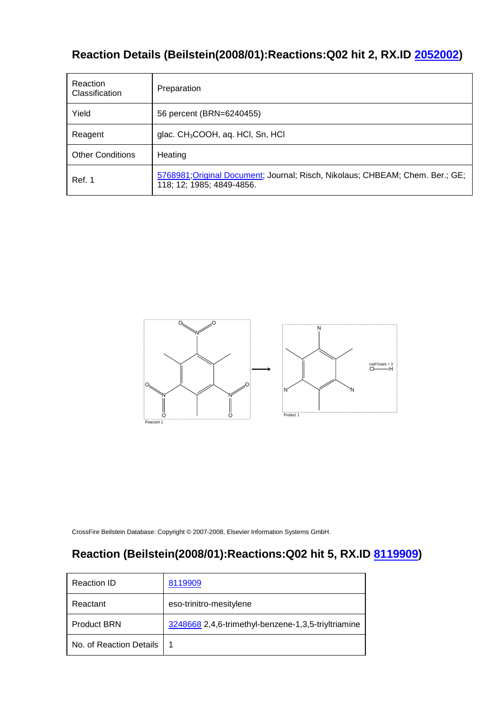# **Reaction Details (Beilstein(2008/01):Reactions:Q02 hit 2, RX.ID 2052002)**

| Reaction<br>Classification | Preparation                                                                                                |
|----------------------------|------------------------------------------------------------------------------------------------------------|
| Yield                      | 56 percent (BRN=6240455)                                                                                   |
| Reagent                    | glac. $CH3COOH$ , aq. HCI, Sn, HCI                                                                         |
| <b>Other Conditions</b>    | Heating                                                                                                    |
| <b>Ref. 1</b>              | 5768981; Original Document; Journal; Risch, Nikolaus; CHBEAM; Chem. Ber.; GE;<br>118; 12; 1985; 4849-4856. |



CrossFire Beilstein Database: Copyright © 2007-2008, Elsevier Information Systems GmbH.

## **Reaction (Beilstein(2008/01):Reactions:Q02 hit 5, RX.ID 8119909)**

| Reaction ID             | 8119909                                             |
|-------------------------|-----------------------------------------------------|
| Reactant                | eso-trinitro-mesitylene                             |
| <b>Product BRN</b>      | 3248668 2,4,6-trimethyl-benzene-1,3,5-triyltriamine |
| No. of Reaction Details |                                                     |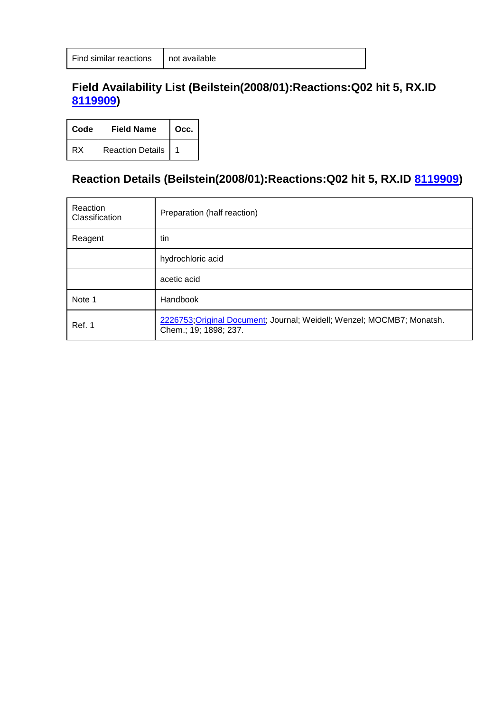### **Field Availability List (Beilstein(2008/01):Reactions:Q02 hit 5, RX.ID 8119909)**

| Code | <b>Field Name</b>       | Occ. |
|------|-------------------------|------|
| RX   | <b>Reaction Details</b> |      |

## **Reaction Details (Beilstein(2008/01):Reactions:Q02 hit 5, RX.ID 8119909)**

| Reaction<br>Classification | Preparation (half reaction)                                                                     |
|----------------------------|-------------------------------------------------------------------------------------------------|
| Reagent                    | tin                                                                                             |
|                            | hydrochloric acid                                                                               |
|                            | acetic acid                                                                                     |
| Note 1                     | Handbook                                                                                        |
| Ref. 1                     | 2226753; Original Document; Journal; Weidell; Wenzel; MOCMB7; Monatsh.<br>Chem.; 19; 1898; 237. |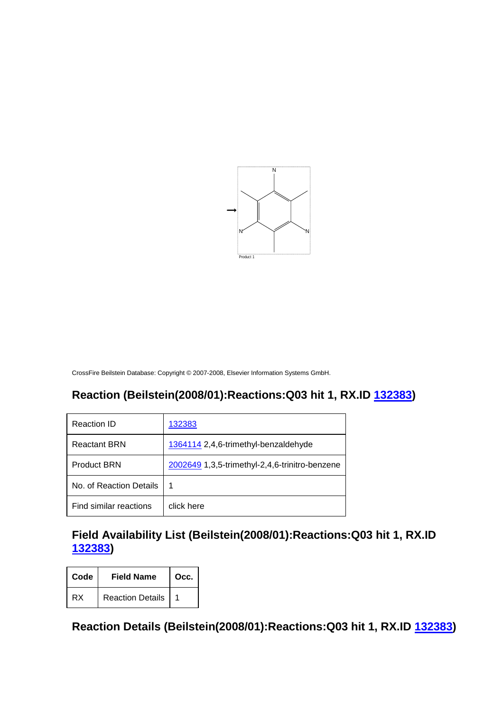

## **Reaction (Beilstein(2008/01):Reactions:Q03 hit 1, RX.ID 132383)**

| Reaction ID             | 132383                                         |
|-------------------------|------------------------------------------------|
| <b>Reactant BRN</b>     | 1364114 2,4,6-trimethyl-benzaldehyde           |
| <b>Product BRN</b>      | 2002649 1,3,5-trimethyl-2,4,6-trinitro-benzene |
| No. of Reaction Details | 1                                              |
| Find similar reactions  | click here                                     |

## **Field Availability List (Beilstein(2008/01):Reactions:Q03 hit 1, RX.ID 132383)**

| Code | <b>Field Name</b>       | Occ. |
|------|-------------------------|------|
| RX   | <b>Reaction Details</b> |      |

**Reaction Details (Beilstein(2008/01):Reactions:Q03 hit 1, RX.ID 132383)**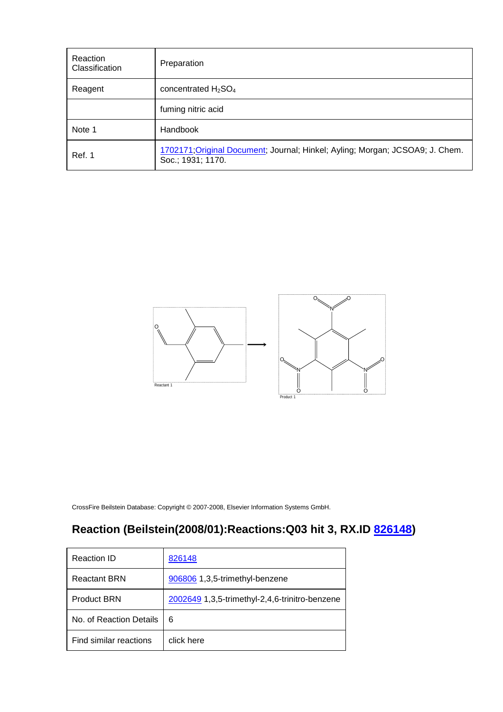| Reaction<br>Classification | Preparation                                                                                        |
|----------------------------|----------------------------------------------------------------------------------------------------|
| Reagent                    | concentrated $H_2SO_4$                                                                             |
|                            | fuming nitric acid                                                                                 |
| Note 1                     | Handbook                                                                                           |
| Ref. 1                     | 1702171; Original Document; Journal; Hinkel; Ayling; Morgan; JCSOA9; J. Chem.<br>Soc.; 1931; 1170. |



# **Reaction (Beilstein(2008/01):Reactions:Q03 hit 3, RX.ID 826148)**

| Reaction ID             | 826148                                         |
|-------------------------|------------------------------------------------|
| <b>Reactant BRN</b>     | 906806 1,3,5-trimethyl-benzene                 |
| <b>Product BRN</b>      | 2002649 1,3,5-trimethyl-2,4,6-trinitro-benzene |
| No. of Reaction Details | 6                                              |
| Find similar reactions  | click here                                     |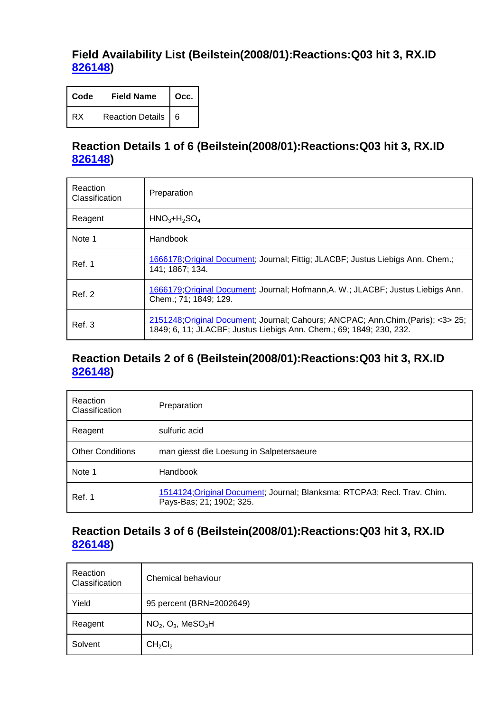#### **Field Availability List (Beilstein(2008/01):Reactions:Q03 hit 3, RX.ID 826148)**

| Code | <b>Field Name</b>  | Occ. |
|------|--------------------|------|
| RX   | Reaction Details 6 |      |

#### **Reaction Details 1 of 6 (Beilstein(2008/01):Reactions:Q03 hit 3, RX.ID 826148)**

| Reaction<br>Classification | Preparation                                                                                                                                              |
|----------------------------|----------------------------------------------------------------------------------------------------------------------------------------------------------|
| Reagent                    | $HNO3+H2SO4$                                                                                                                                             |
| Note 1                     | Handbook                                                                                                                                                 |
| Ref. 1                     | 1666178; Original Document; Journal; Fittig; JLACBF; Justus Liebigs Ann. Chem.;<br>141; 1867; 134.                                                       |
| Ref. 2                     | 1666179; Original Document; Journal; Hofmann, A. W.; JLACBF; Justus Liebigs Ann.<br>Chem.; 71; 1849; 129.                                                |
| Ref. 3                     | 2151248; Original Document; Journal; Cahours; ANCPAC; Ann. Chim. (Paris); <3> 25;<br>1849; 6, 11; JLACBF; Justus Liebigs Ann. Chem.; 69; 1849; 230, 232. |

#### **Reaction Details 2 of 6 (Beilstein(2008/01):Reactions:Q03 hit 3, RX.ID 826148)**

| Reaction<br>Classification | Preparation                                                                                          |
|----------------------------|------------------------------------------------------------------------------------------------------|
| Reagent                    | sulfuric acid                                                                                        |
| <b>Other Conditions</b>    | man giesst die Loesung in Salpetersaeure                                                             |
| Note 1                     | Handbook                                                                                             |
| Ref. 1                     | 1514124; Original Document; Journal; Blanksma; RTCPA3; Recl. Trav. Chim.<br>Pays-Bas; 21; 1902; 325. |

#### **Reaction Details 3 of 6 (Beilstein(2008/01):Reactions:Q03 hit 3, RX.ID 826148)**

| Reaction<br>Classification | Chemical behaviour              |
|----------------------------|---------------------------------|
| Yield                      | 95 percent (BRN=2002649)        |
| Reagent                    | $NO2, O3, MeSO3H$               |
| Solvent                    | CH <sub>2</sub> Cl <sub>2</sub> |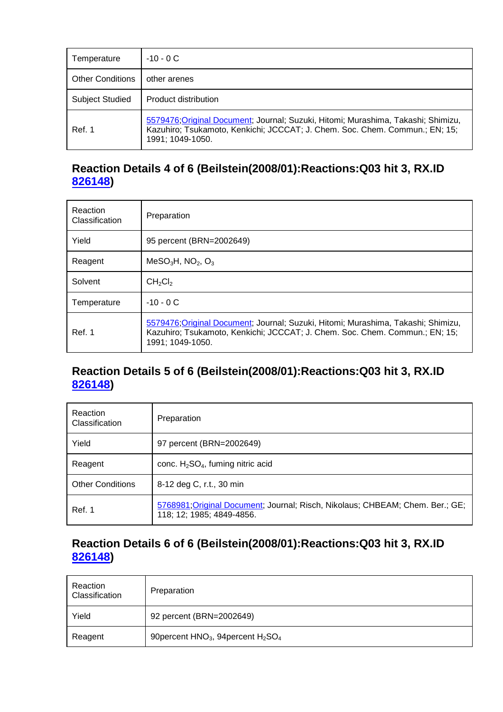| Temperature             | $-10 - 0C$                                                                                                                                                                           |
|-------------------------|--------------------------------------------------------------------------------------------------------------------------------------------------------------------------------------|
| <b>Other Conditions</b> | other arenes                                                                                                                                                                         |
| <b>Subject Studied</b>  | Product distribution                                                                                                                                                                 |
| Ref. 1                  | 5579476; Original Document; Journal; Suzuki, Hitomi; Murashima, Takashi; Shimizu,<br>Kazuhiro; Tsukamoto, Kenkichi; JCCCAT; J. Chem. Soc. Chem. Commun.; EN; 15;<br>1991; 1049-1050. |

### **Reaction Details 4 of 6 (Beilstein(2008/01):Reactions:Q03 hit 3, RX.ID 826148)**

| Reaction<br>Classification | Preparation                                                                                                                                                                          |
|----------------------------|--------------------------------------------------------------------------------------------------------------------------------------------------------------------------------------|
| Yield                      | 95 percent (BRN=2002649)                                                                                                                                                             |
| Reagent                    | $MeSO3H$ , NO <sub>2</sub> , O <sub>3</sub>                                                                                                                                          |
| Solvent                    | CH <sub>2</sub> Cl <sub>2</sub>                                                                                                                                                      |
| Temperature                | $-10 - 0C$                                                                                                                                                                           |
| Ref. 1                     | 5579476; Original Document; Journal; Suzuki, Hitomi; Murashima, Takashi; Shimizu,<br>Kazuhiro; Tsukamoto, Kenkichi; JCCCAT; J. Chem. Soc. Chem. Commun.; EN; 15;<br>1991; 1049-1050. |

### **Reaction Details 5 of 6 (Beilstein(2008/01):Reactions:Q03 hit 3, RX.ID 826148)**

| Reaction<br>Classification | Preparation                                                                                                |
|----------------------------|------------------------------------------------------------------------------------------------------------|
| Yield                      | 97 percent (BRN=2002649)                                                                                   |
| Reagent                    | conc. $H_2SO_4$ , fuming nitric acid                                                                       |
| <b>Other Conditions</b>    | 8-12 deg C, r.t., 30 min                                                                                   |
| Ref. 1                     | 5768981; Original Document; Journal; Risch, Nikolaus; CHBEAM; Chem. Ber.; GE;<br>118; 12; 1985; 4849-4856. |

## **Reaction Details 6 of 6 (Beilstein(2008/01):Reactions:Q03 hit 3, RX.ID 826148)**

| Reaction<br>Classification | Preparation                            |
|----------------------------|----------------------------------------|
| Yield                      | 92 percent (BRN=2002649)               |
| Reagent                    | 90 percent $HNO3$ , 94 percent $H2SO4$ |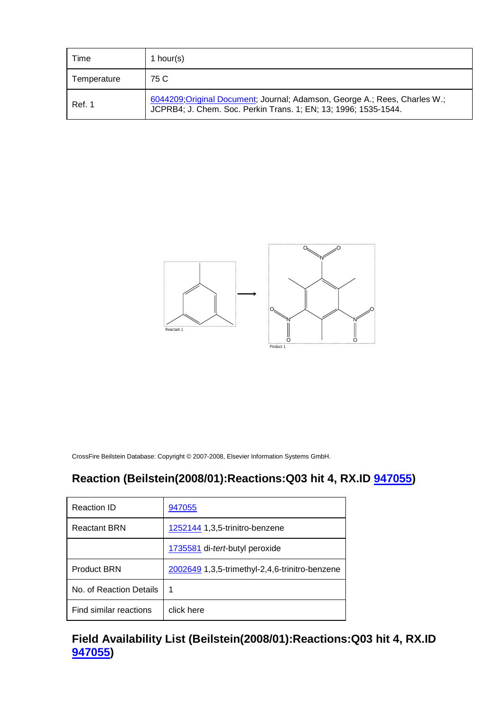| Time        | 1 hour(s)                                                                                                                                     |
|-------------|-----------------------------------------------------------------------------------------------------------------------------------------------|
| Temperature | 75 C                                                                                                                                          |
| Ref. 1      | 6044209; Original Document; Journal; Adamson, George A.; Rees, Charles W.;<br>JCPRB4; J. Chem. Soc. Perkin Trans. 1; EN; 13; 1996; 1535-1544. |



## **Reaction (Beilstein(2008/01):Reactions:Q03 hit 4, RX.ID 947055)**

| Reaction ID             | 947055                                         |
|-------------------------|------------------------------------------------|
| <b>Reactant BRN</b>     | 1252144 1,3,5-trinitro-benzene                 |
|                         | 1735581 di-tert-butyl peroxide                 |
| <b>Product BRN</b>      | 2002649 1,3,5-trimethyl-2,4,6-trinitro-benzene |
| No. of Reaction Details | 1                                              |
| Find similar reactions  | click here                                     |

**Field Availability List (Beilstein(2008/01):Reactions:Q03 hit 4, RX.ID 947055)**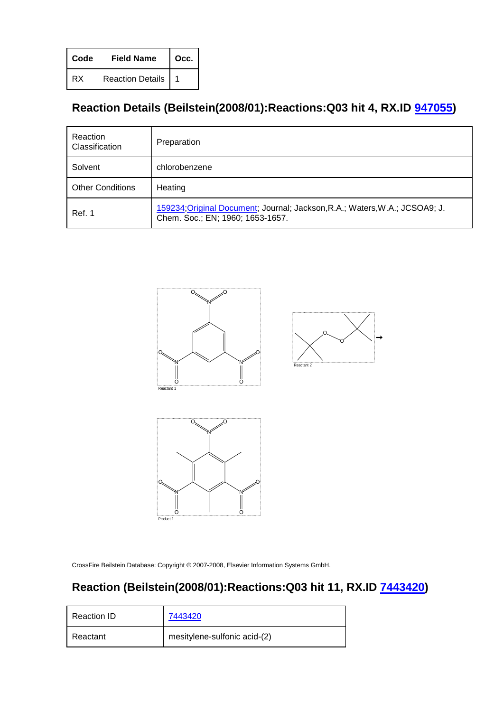| Code | <b>Field Name</b>       | Occ. |
|------|-------------------------|------|
| RX   | <b>Reaction Details</b> |      |

# **Reaction Details (Beilstein(2008/01):Reactions:Q03 hit 4, RX.ID 947055)**

| Reaction<br>Classification | Preparation                                                                                                     |
|----------------------------|-----------------------------------------------------------------------------------------------------------------|
| Solvent                    | chlorobenzene                                                                                                   |
| <b>Other Conditions</b>    | Heating                                                                                                         |
| Ref. 1                     | 159234; Original Document; Journal; Jackson, R.A.; Waters, W.A.; JCSOA9; J.<br>Chem. Soc.; EN; 1960; 1653-1657. |







CrossFire Beilstein Database: Copyright © 2007-2008, Elsevier Information Systems GmbH.

## **Reaction (Beilstein(2008/01):Reactions:Q03 hit 11, RX.ID 7443420)**

| Reaction ID | 7443420                      |
|-------------|------------------------------|
| Reactant    | mesitylene-sulfonic acid-(2) |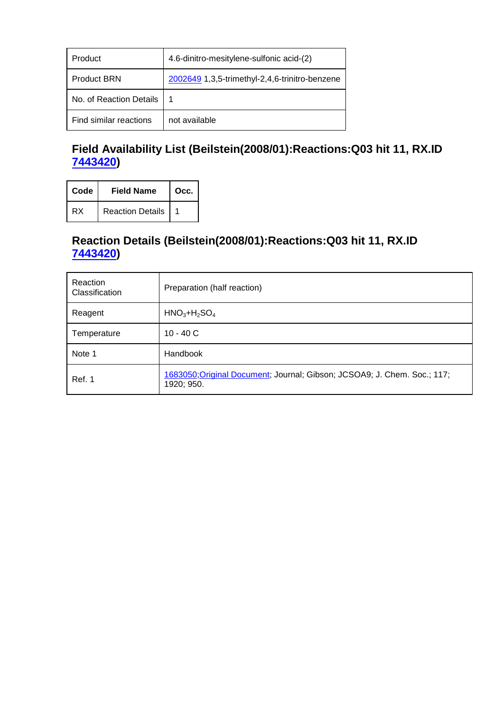| Product                 | 4.6-dinitro-mesitylene-sulfonic acid-(2)       |
|-------------------------|------------------------------------------------|
| <b>Product BRN</b>      | 2002649 1,3,5-trimethyl-2,4,6-trinitro-benzene |
| No. of Reaction Details |                                                |
| Find similar reactions  | not available                                  |

## **Field Availability List (Beilstein(2008/01):Reactions:Q03 hit 11, RX.ID 7443420)**

| Code | <b>Field Name</b>       | Occ. |
|------|-------------------------|------|
| RX   | <b>Reaction Details</b> |      |

## **Reaction Details (Beilstein(2008/01):Reactions:Q03 hit 11, RX.ID 7443420)**

| Reaction<br>Classification | Preparation (half reaction)                                                            |
|----------------------------|----------------------------------------------------------------------------------------|
| Reagent                    | $HNO3+H2SO4$                                                                           |
| Temperature                | $10 - 40 C$                                                                            |
| Note 1                     | Handbook                                                                               |
| Ref. 1                     | 1683050; Original Document; Journal; Gibson; JCSOA9; J. Chem. Soc.; 117;<br>1920; 950. |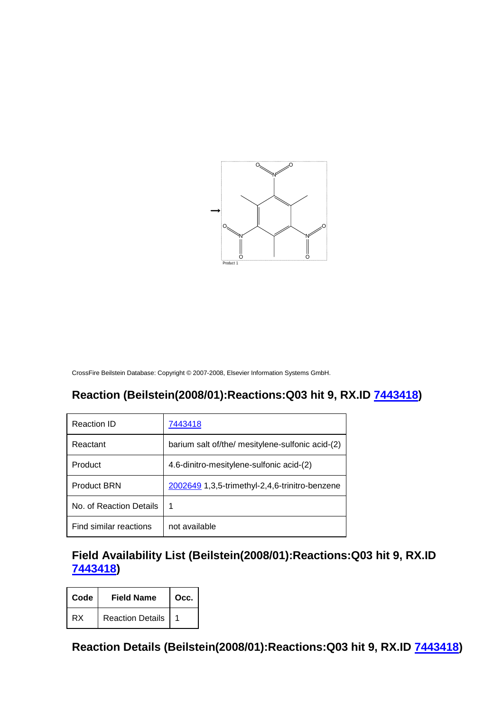

## **Reaction (Beilstein(2008/01):Reactions:Q03 hit 9, RX.ID 7443418)**

| Reaction ID             | 7443418                                          |
|-------------------------|--------------------------------------------------|
| Reactant                | barium salt of/the/ mesitylene-sulfonic acid-(2) |
| Product                 | 4.6-dinitro-mesitylene-sulfonic acid-(2)         |
| <b>Product BRN</b>      | 2002649 1,3,5-trimethyl-2,4,6-trinitro-benzene   |
| No. of Reaction Details | 1                                                |
| Find similar reactions  | not available                                    |

#### **Field Availability List (Beilstein(2008/01):Reactions:Q03 hit 9, RX.ID 7443418)**

| Code | <b>Field Name</b>       | Occ. |
|------|-------------------------|------|
| RX   | <b>Reaction Details</b> |      |

**Reaction Details (Beilstein(2008/01):Reactions:Q03 hit 9, RX.ID 7443418)**